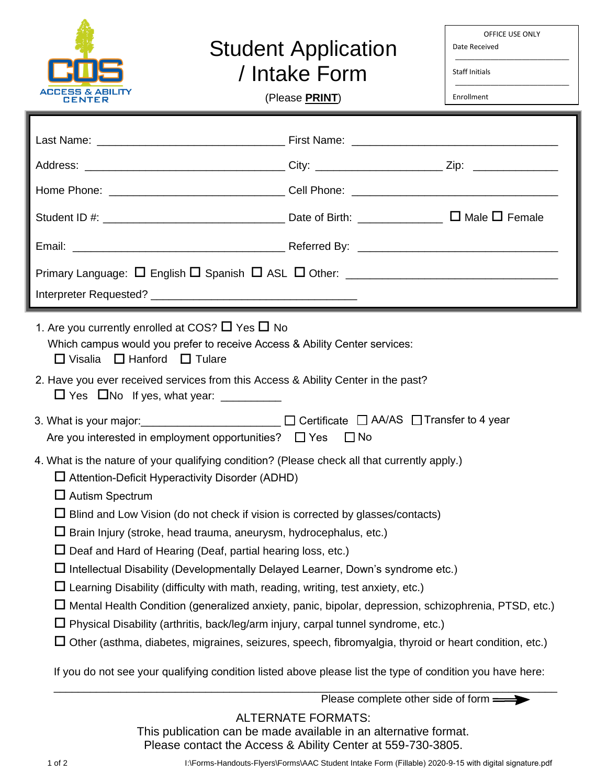

## Student Application

OFFICE USE ONLY Date Received \_\_\_\_\_\_\_\_\_\_\_\_\_\_\_\_\_\_\_\_\_\_\_\_\_\_\_\_\_

\_\_\_\_\_\_\_\_\_\_\_\_\_\_\_\_\_\_\_\_\_\_\_\_\_\_\_\_\_

/ Intake Form

(Please **PRINT**)

Enrollment

Status

Staff Initials

|                                                                                                                                                                                                                                                                                                                                                                                                                                                                                                                                                                                                                                                                                                                                                                                                                                                                                                                                                                                                                                                                                                                                                                                                                                                                             | Student ID #: $\frac{1}{2}$ Female |
|-----------------------------------------------------------------------------------------------------------------------------------------------------------------------------------------------------------------------------------------------------------------------------------------------------------------------------------------------------------------------------------------------------------------------------------------------------------------------------------------------------------------------------------------------------------------------------------------------------------------------------------------------------------------------------------------------------------------------------------------------------------------------------------------------------------------------------------------------------------------------------------------------------------------------------------------------------------------------------------------------------------------------------------------------------------------------------------------------------------------------------------------------------------------------------------------------------------------------------------------------------------------------------|------------------------------------|
| 1. Are you currently enrolled at COS? $\Box$ Yes $\Box$ No<br>Which campus would you prefer to receive Access & Ability Center services:<br>$\Box$ Visalia $\Box$ Hanford $\Box$ Tulare<br>2. Have you ever received services from this Access & Ability Center in the past?<br>3. What is your major: ________________________ □ Certificate □ AA/AS □ Transfer to 4 year<br>Are you interested in employment opportunities? $\Box$ Yes $\Box$ No<br>4. What is the nature of your qualifying condition? (Please check all that currently apply.)<br>$\Box$ Attention-Deficit Hyperactivity Disorder (ADHD)<br>$\Box$ Autism Spectrum<br>$\Box$ Blind and Low Vision (do not check if vision is corrected by glasses/contacts)<br>$\Box$ Brain Injury (stroke, head trauma, aneurysm, hydrocephalus, etc.)<br>$\Box$ Deaf and Hard of Hearing (Deaf, partial hearing loss, etc.)<br>$\Box$ Intellectual Disability (Developmentally Delayed Learner, Down's syndrome etc.)<br>$\Box$ Learning Disability (difficulty with math, reading, writing, test anxiety, etc.)<br>$\Box$ Mental Health Condition (generalized anxiety, panic, bipolar, depression, schizophrenia, PTSD, etc.)<br>Physical Disability (arthritis, back/leg/arm injury, carpal tunnel syndrome, etc.) |                                    |

If you do not see your qualifying condition listed above please list the type of condition you have here:

\_\_\_\_\_\_\_\_\_\_\_\_\_\_\_\_\_\_\_\_\_\_\_\_\_\_\_\_\_\_\_\_\_\_\_\_\_\_\_\_\_\_\_\_\_\_\_\_\_\_\_\_\_\_\_\_\_\_\_\_\_\_\_\_\_\_\_\_\_\_\_\_\_\_\_\_\_\_\_\_\_\_\_ Please complete other side of form

## ALTERNATE FORMATS:

This publication can be made available in an alternative format.

Please contact the Access & Ability Center at 559-730-3805.